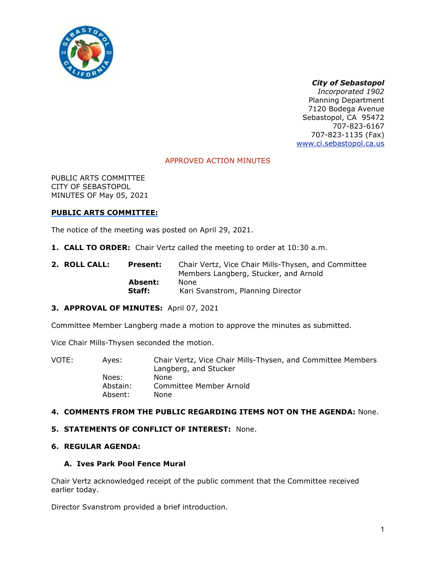

# *City of Sebastopol*

*Incorporated 1902*  Planning Department 7120 Bodega Avenue Sebastopol, CA 95472 707-823-6167 707-823-1135 (Fax) www.ci.sebastopol.ca.us

# APPROVED ACTION MINUTES

PUBLIC ARTS COMMITTEE CITY OF SEBASTOPOL MINUTES OF May 05, 2021

### **PUBLIC ARTS COMMITTEE:**

The notice of the meeting was posted on April 29, 2021.

- **1. CALL TO ORDER:** Chair Vertz called the meeting to order at 10:30 a.m.
- **2. ROLL CALL: Present:** Chair Vertz, Vice Chair Mills-Thysen, and Committee Members Langberg, Stucker, and Arnold **Absent:** None **Staff:** Kari Svanstrom, Planning Director

#### **3. APPROVAL OF MINUTES:** April 07, 2021

Committee Member Langberg made a motion to approve the minutes as submitted.

Vice Chair Mills-Thysen seconded the motion.

| VOTE: | Aves:    | Chair Vertz, Vice Chair Mills-Thysen, and Committee Members<br>Langberg, and Stucker |
|-------|----------|--------------------------------------------------------------------------------------|
|       | Noes:    | <b>None</b>                                                                          |
|       | Abstain: | Committee Member Arnold                                                              |
|       | Absent:  | None                                                                                 |

#### **4. COMMENTS FROM THE PUBLIC REGARDING ITEMS NOT ON THE AGENDA:** None.

#### **5. STATEMENTS OF CONFLICT OF INTEREST:** None.

## **6. REGULAR AGENDA:**

#### **A. Ives Park Pool Fence Mural**

Chair Vertz acknowledged receipt of the public comment that the Committee received earlier today.

Director Svanstrom provided a brief introduction.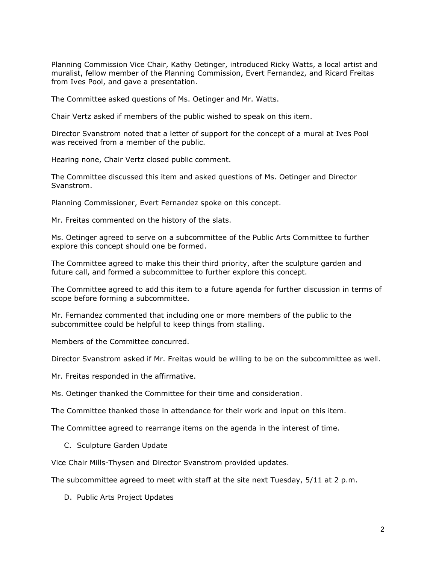Planning Commission Vice Chair, Kathy Oetinger, introduced Ricky Watts, a local artist and muralist, fellow member of the Planning Commission, Evert Fernandez, and Ricard Freitas from Ives Pool, and gave a presentation.

The Committee asked questions of Ms. Oetinger and Mr. Watts.

Chair Vertz asked if members of the public wished to speak on this item.

Director Svanstrom noted that a letter of support for the concept of a mural at Ives Pool was received from a member of the public.

Hearing none, Chair Vertz closed public comment.

The Committee discussed this item and asked questions of Ms. Oetinger and Director Svanstrom.

Planning Commissioner, Evert Fernandez spoke on this concept.

Mr. Freitas commented on the history of the slats.

Ms. Oetinger agreed to serve on a subcommittee of the Public Arts Committee to further explore this concept should one be formed.

The Committee agreed to make this their third priority, after the sculpture garden and future call, and formed a subcommittee to further explore this concept.

The Committee agreed to add this item to a future agenda for further discussion in terms of scope before forming a subcommittee.

Mr. Fernandez commented that including one or more members of the public to the subcommittee could be helpful to keep things from stalling.

Members of the Committee concurred.

Director Svanstrom asked if Mr. Freitas would be willing to be on the subcommittee as well.

Mr. Freitas responded in the affirmative.

Ms. Oetinger thanked the Committee for their time and consideration.

The Committee thanked those in attendance for their work and input on this item.

The Committee agreed to rearrange items on the agenda in the interest of time.

C. Sculpture Garden Update

Vice Chair Mills-Thysen and Director Svanstrom provided updates.

The subcommittee agreed to meet with staff at the site next Tuesday, 5/11 at 2 p.m.

D. Public Arts Project Updates